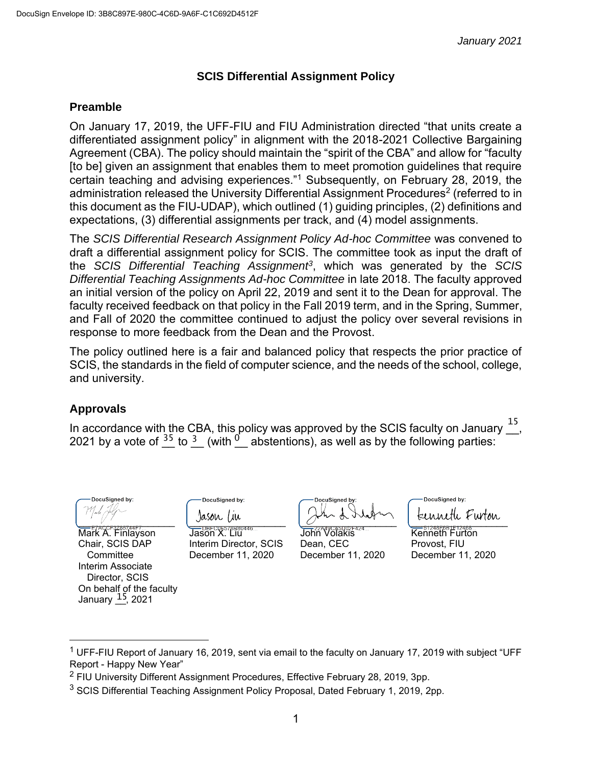#### **SCIS Differential Assignment Policy**

#### **Preamble**

On January 17, 2019, the UFF-FIU and FIU Administration directed "that units create a differentiated assignment policy" in alignment with the 2018-2021 Collective Bargaining Agreement (CBA). The policy should maintain the "spirit of the CBA" and allow for "faculty [to be] given an assignment that enables them to meet promotion guidelines that require certain teaching and advising experiences."<sup>1</sup> Subsequently, on February 28, 2019, the administration released the University Differential Assignment Procedures<sup>2</sup> (referred to in this document as the FIU-UDAP), which outlined (1) guiding principles, (2) definitions and expectations, (3) differential assignments per track, and (4) model assignments.

The *SCIS Differential Research Assignment Policy Ad-hoc Committee* was convened to draft a differential assignment policy for SCIS. The committee took as input the draft of the *SCIS Differential Teaching Assignment<sup>3</sup>* , which was generated by the *SCIS Differential Teaching Assignments Ad-hoc Committee* in late 2018. The faculty approved an initial version of the policy on April 22, 2019 and sent it to the Dean for approval. The faculty received feedback on that policy in the Fall 2019 term, and in the Spring, Summer, and Fall of 2020 the committee continued to adjust the policy over several revisions in response to more feedback from the Dean and the Provost.

The policy outlined here is a fair and balanced policy that respects the prior practice of SCIS, the standards in the field of computer science, and the needs of the school, college, and university.

## **Approvals**

In accordance with the CBA, this policy was approved by the SCIS faculty on January  $\overline{a}$ 2021 by a vote of  $\frac{35}{2}$  to  $\frac{3}{2}$  (with  $\frac{0}{2}$  abstentions), as well as by the following parties: 15

DocuSianed by: \_\_\_\_\_\_\_\_\_\_\_\_\_\_\_\_\_\_

Mark A. Finlayson Chair, SCIS DAP **Committee** Interim Associate Director, SCIS On behalf of the faculty January <u>15</u>, 2021

DocuSigned by: Jason Tiu

Jason X. Liu Interim Director, SCIS December 11, 2020

DocuSigned by:  $\overline{C}$  .  $\overline{C}$  .  $\overline{C}$ 

John Volakis Dean, CEC December 11, 2020

DocuSigned by: kenneth Furton

Kenneth Furton Provost, FIU December 11, 2020

<sup>&</sup>lt;sup>1</sup> UFF-FIU Report of January 16, 2019, sent via email to the faculty on January 17, 2019 with subject "UFF Report - Happy New Year"

<sup>2</sup> FIU University Different Assignment Procedures, Effective February 28, 2019, 3pp.

<sup>&</sup>lt;sup>3</sup> SCIS Differential Teaching Assignment Policy Proposal, Dated February 1, 2019, 2pp.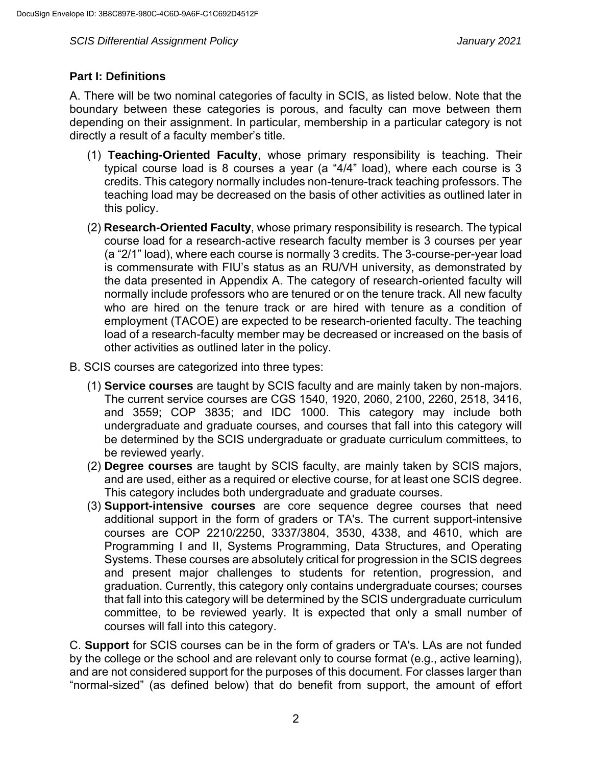## **Part I: Definitions**

A. There will be two nominal categories of faculty in SCIS, as listed below. Note that the boundary between these categories is porous, and faculty can move between them depending on their assignment. In particular, membership in a particular category is not directly a result of a faculty member's title.

- (1) **Teaching-Oriented Faculty**, whose primary responsibility is teaching. Their typical course load is 8 courses a year (a "4/4" load), where each course is 3 credits. This category normally includes non-tenure-track teaching professors. The teaching load may be decreased on the basis of other activities as outlined later in this policy.
- (2) **Research-Oriented Faculty**, whose primary responsibility is research. The typical course load for a research-active research faculty member is 3 courses per year (a "2/1" load), where each course is normally 3 credits. The 3-course-per-year load is commensurate with FIU's status as an RU/VH university, as demonstrated by the data presented in Appendix A. The category of research-oriented faculty will normally include professors who are tenured or on the tenure track. All new faculty who are hired on the tenure track or are hired with tenure as a condition of employment (TACOE) are expected to be research-oriented faculty. The teaching load of a research-faculty member may be decreased or increased on the basis of other activities as outlined later in the policy.
- B. SCIS courses are categorized into three types:
	- (1) **Service courses** are taught by SCIS faculty and are mainly taken by non-majors. The current service courses are CGS 1540, 1920, 2060, 2100, 2260, 2518, 3416, and 3559; COP 3835; and IDC 1000. This category may include both undergraduate and graduate courses, and courses that fall into this category will be determined by the SCIS undergraduate or graduate curriculum committees, to be reviewed yearly.
	- (2) **Degree courses** are taught by SCIS faculty, are mainly taken by SCIS majors, and are used, either as a required or elective course, for at least one SCIS degree. This category includes both undergraduate and graduate courses.
	- (3) **Support-intensive courses** are core sequence degree courses that need additional support in the form of graders or TA's. The current support-intensive courses are COP 2210/2250, 3337/3804, 3530, 4338, and 4610, which are Programming I and II, Systems Programming, Data Structures, and Operating Systems. These courses are absolutely critical for progression in the SCIS degrees and present major challenges to students for retention, progression, and graduation. Currently, this category only contains undergraduate courses; courses that fall into this category will be determined by the SCIS undergraduate curriculum committee, to be reviewed yearly. It is expected that only a small number of courses will fall into this category.

C. **Support** for SCIS courses can be in the form of graders or TA's. LAs are not funded by the college or the school and are relevant only to course format (e.g., active learning), and are not considered support for the purposes of this document. For classes larger than "normal-sized" (as defined below) that do benefit from support, the amount of effort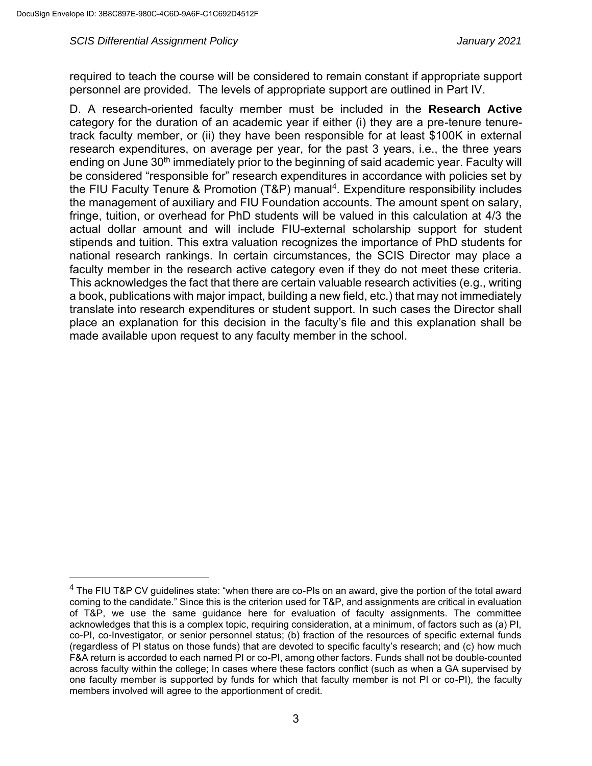required to teach the course will be considered to remain constant if appropriate support personnel are provided. The levels of appropriate support are outlined in Part IV.

D. A research-oriented faculty member must be included in the **Research Active** category for the duration of an academic year if either (i) they are a pre-tenure tenuretrack faculty member, or (ii) they have been responsible for at least \$100K in external research expenditures, on average per year, for the past 3 years, i.e., the three years ending on June 30<sup>th</sup> immediately prior to the beginning of said academic year. Faculty will be considered "responsible for" research expenditures in accordance with policies set by the FIU Faculty Tenure & Promotion (T&P) manual<sup>4</sup>. Expenditure responsibility includes the management of auxiliary and FIU Foundation accounts. The amount spent on salary, fringe, tuition, or overhead for PhD students will be valued in this calculation at 4/3 the actual dollar amount and will include FIU-external scholarship support for student stipends and tuition. This extra valuation recognizes the importance of PhD students for national research rankings. In certain circumstances, the SCIS Director may place a faculty member in the research active category even if they do not meet these criteria. This acknowledges the fact that there are certain valuable research activities (e.g., writing a book, publications with major impact, building a new field, etc.) that may not immediately translate into research expenditures or student support. In such cases the Director shall place an explanation for this decision in the faculty's file and this explanation shall be made available upon request to any faculty member in the school.

<sup>&</sup>lt;sup>4</sup> The FIU T&P CV guidelines state: "when there are co-PIs on an award, give the portion of the total award coming to the candidate." Since this is the criterion used for T&P, and assignments are critical in evaluation of T&P, we use the same guidance here for evaluation of faculty assignments. The committee acknowledges that this is a complex topic, requiring consideration, at a minimum, of factors such as (a) PI, co-PI, co-Investigator, or senior personnel status; (b) fraction of the resources of specific external funds (regardless of PI status on those funds) that are devoted to specific faculty's research; and (c) how much F&A return is accorded to each named PI or co-PI, among other factors. Funds shall not be double-counted across faculty within the college; In cases where these factors conflict (such as when a GA supervised by one faculty member is supported by funds for which that faculty member is not PI or co-PI), the faculty members involved will agree to the apportionment of credit.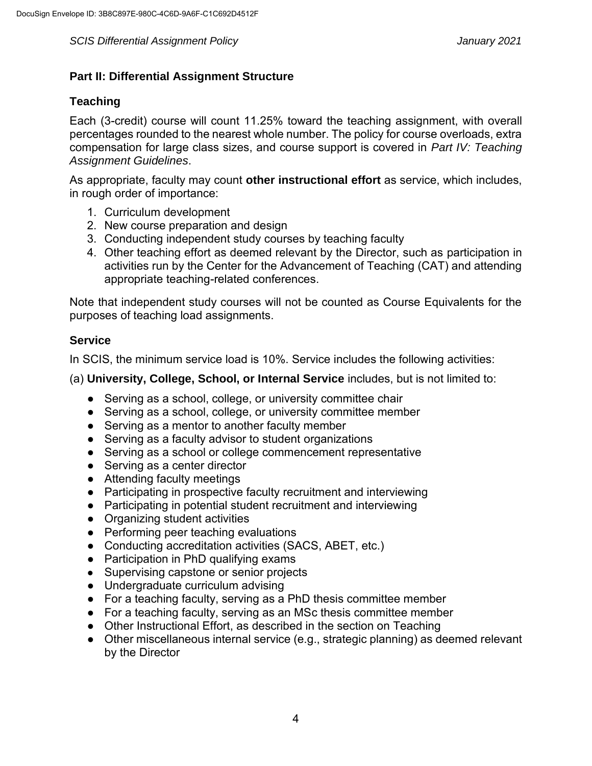## **Part II: Differential Assignment Structure**

## **Teaching**

Each (3-credit) course will count 11.25% toward the teaching assignment, with overall percentages rounded to the nearest whole number. The policy for course overloads, extra compensation for large class sizes, and course support is covered in *Part IV: Teaching Assignment Guidelines*.

As appropriate, faculty may count **other instructional effort** as service, which includes, in rough order of importance:

- 1. Curriculum development
- 2. New course preparation and design
- 3. Conducting independent study courses by teaching faculty
- 4. Other teaching effort as deemed relevant by the Director, such as participation in activities run by the Center for the Advancement of Teaching (CAT) and attending appropriate teaching-related conferences.

Note that independent study courses will not be counted as Course Equivalents for the purposes of teaching load assignments.

## **Service**

In SCIS, the minimum service load is 10%. Service includes the following activities:

(a) **University, College, School, or Internal Service** includes, but is not limited to:

- Serving as a school, college, or university committee chair
- Serving as a school, college, or university committee member
- Serving as a mentor to another faculty member
- Serving as a faculty advisor to student organizations
- Serving as a school or college commencement representative
- Serving as a center director
- Attending faculty meetings
- Participating in prospective faculty recruitment and interviewing
- Participating in potential student recruitment and interviewing
- Organizing student activities
- Performing peer teaching evaluations
- Conducting accreditation activities (SACS, ABET, etc.)
- Participation in PhD qualifying exams
- Supervising capstone or senior projects
- Undergraduate curriculum advising
- For a teaching faculty, serving as a PhD thesis committee member
- For a teaching faculty, serving as an MSc thesis committee member
- Other Instructional Effort, as described in the section on Teaching
- Other miscellaneous internal service (e.g., strategic planning) as deemed relevant by the Director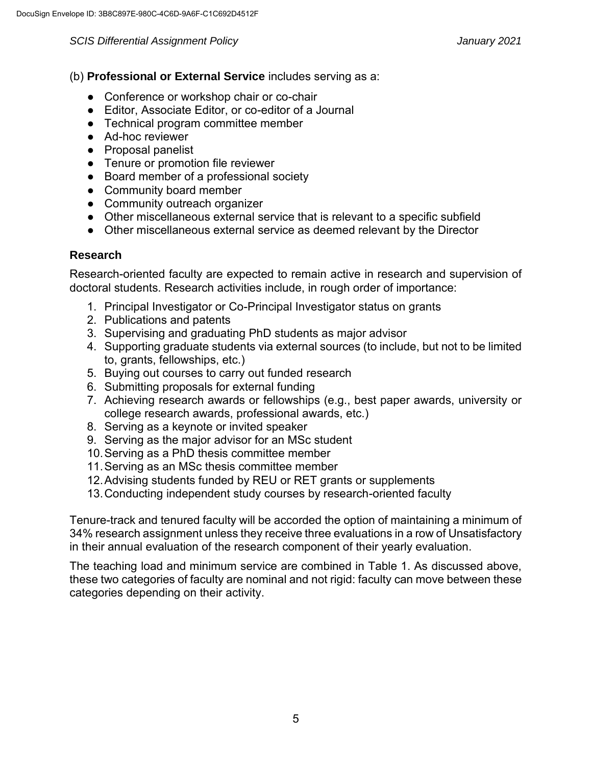- (b) **Professional or External Service** includes serving as a:
	- Conference or workshop chair or co-chair
	- Editor, Associate Editor, or co-editor of a Journal
	- Technical program committee member
	- Ad-hoc reviewer
	- Proposal panelist
	- Tenure or promotion file reviewer
	- Board member of a professional society
	- Community board member
	- Community outreach organizer
	- Other miscellaneous external service that is relevant to a specific subfield
	- Other miscellaneous external service as deemed relevant by the Director

## **Research**

Research-oriented faculty are expected to remain active in research and supervision of doctoral students. Research activities include, in rough order of importance:

- 1. Principal Investigator or Co-Principal Investigator status on grants
- 2. Publications and patents
- 3. Supervising and graduating PhD students as major advisor
- 4. Supporting graduate students via external sources (to include, but not to be limited to, grants, fellowships, etc.)
- 5. Buying out courses to carry out funded research
- 6. Submitting proposals for external funding
- 7. Achieving research awards or fellowships (e.g., best paper awards, university or college research awards, professional awards, etc.)
- 8. Serving as a keynote or invited speaker
- 9. Serving as the major advisor for an MSc student
- 10.Serving as a PhD thesis committee member
- 11.Serving as an MSc thesis committee member
- 12.Advising students funded by REU or RET grants or supplements
- 13.Conducting independent study courses by research-oriented faculty

Tenure-track and tenured faculty will be accorded the option of maintaining a minimum of 34% research assignment unless they receive three evaluations in a row of Unsatisfactory in their annual evaluation of the research component of their yearly evaluation.

The teaching load and minimum service are combined in Table 1. As discussed above, these two categories of faculty are nominal and not rigid: faculty can move between these categories depending on their activity.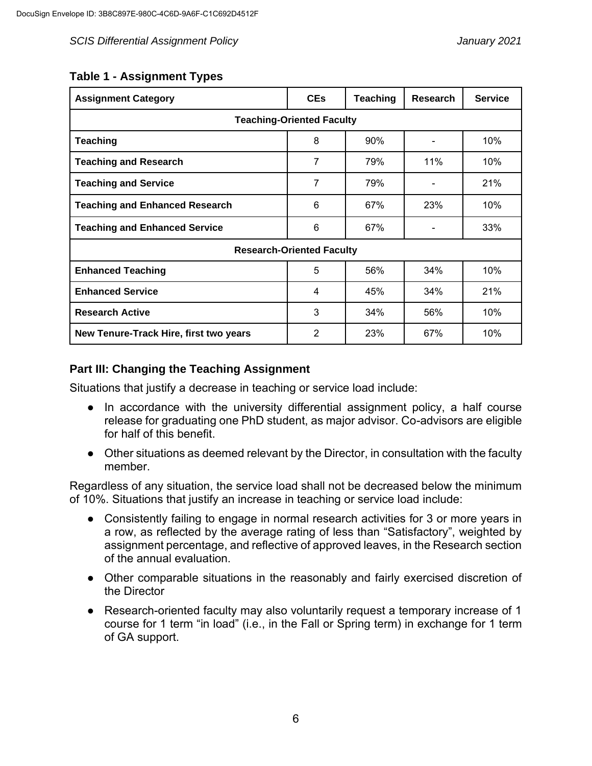## **Table 1 - Assignment Types**

| <b>Assignment Category</b>             | <b>CEs</b>     | <b>Teaching</b> | <b>Research</b> | <b>Service</b> |  |  |  |
|----------------------------------------|----------------|-----------------|-----------------|----------------|--|--|--|
| <b>Teaching-Oriented Faculty</b>       |                |                 |                 |                |  |  |  |
| <b>Teaching</b>                        | 8              | 90%             |                 | 10%            |  |  |  |
| <b>Teaching and Research</b>           | 7              | 79%             | 11%             | 10%            |  |  |  |
| <b>Teaching and Service</b>            | 7              | 79%             |                 |                |  |  |  |
| <b>Teaching and Enhanced Research</b>  | 6              | 67%             | 23%             | 10%            |  |  |  |
| <b>Teaching and Enhanced Service</b>   | 6              | 67%             |                 | 33%            |  |  |  |
| <b>Research-Oriented Faculty</b>       |                |                 |                 |                |  |  |  |
| <b>Enhanced Teaching</b>               | 5              | 56%             | 34%             | 10%            |  |  |  |
| <b>Enhanced Service</b>                | 4              | 45%             | 34%             | 21%            |  |  |  |
| <b>Research Active</b>                 | 3              | 34%             | 56%             | 10%            |  |  |  |
| New Tenure-Track Hire, first two years | $\overline{2}$ | 23%             | 67%             | 10%            |  |  |  |

## **Part III: Changing the Teaching Assignment**

Situations that justify a decrease in teaching or service load include:

- In accordance with the university differential assignment policy, a half course release for graduating one PhD student, as major advisor. Co-advisors are eligible for half of this benefit.
- Other situations as deemed relevant by the Director, in consultation with the faculty member.

Regardless of any situation, the service load shall not be decreased below the minimum of 10%. Situations that justify an increase in teaching or service load include:

- Consistently failing to engage in normal research activities for 3 or more years in a row, as reflected by the average rating of less than "Satisfactory", weighted by assignment percentage, and reflective of approved leaves, in the Research section of the annual evaluation.
- Other comparable situations in the reasonably and fairly exercised discretion of the Director
- Research-oriented faculty may also voluntarily request a temporary increase of 1 course for 1 term "in load" (i.e., in the Fall or Spring term) in exchange for 1 term of GA support.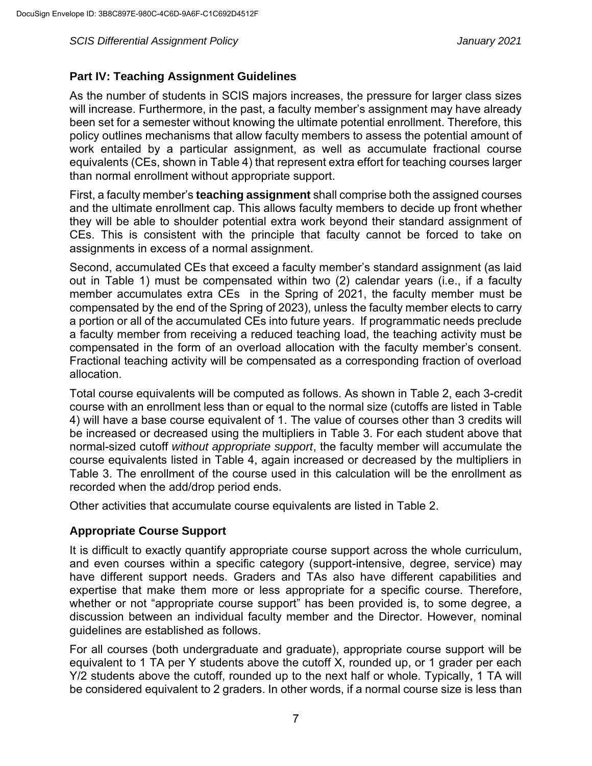## **Part IV: Teaching Assignment Guidelines**

As the number of students in SCIS majors increases, the pressure for larger class sizes will increase. Furthermore, in the past, a faculty member's assignment may have already been set for a semester without knowing the ultimate potential enrollment. Therefore, this policy outlines mechanisms that allow faculty members to assess the potential amount of work entailed by a particular assignment, as well as accumulate fractional course equivalents (CEs, shown in Table 4) that represent extra effort for teaching courses larger than normal enrollment without appropriate support.

First, a faculty member's **teaching assignment** shall comprise both the assigned courses and the ultimate enrollment cap. This allows faculty members to decide up front whether they will be able to shoulder potential extra work beyond their standard assignment of CEs. This is consistent with the principle that faculty cannot be forced to take on assignments in excess of a normal assignment.

Second, accumulated CEs that exceed a faculty member's standard assignment (as laid out in Table 1) must be compensated within two (2) calendar years (i.e., if a faculty member accumulates extra CEs in the Spring of 2021, the faculty member must be compensated by the end of the Spring of 2023), unless the faculty member elects to carry a portion or all of the accumulated CEs into future years. If programmatic needs preclude a faculty member from receiving a reduced teaching load, the teaching activity must be compensated in the form of an overload allocation with the faculty member's consent. Fractional teaching activity will be compensated as a corresponding fraction of overload allocation.

Total course equivalents will be computed as follows. As shown in Table 2, each 3-credit course with an enrollment less than or equal to the normal size (cutoffs are listed in Table 4) will have a base course equivalent of 1. The value of courses other than 3 credits will be increased or decreased using the multipliers in Table 3. For each student above that normal-sized cutoff *without appropriate support*, the faculty member will accumulate the course equivalents listed in Table 4, again increased or decreased by the multipliers in Table 3. The enrollment of the course used in this calculation will be the enrollment as recorded when the add/drop period ends.

Other activities that accumulate course equivalents are listed in Table 2.

## **Appropriate Course Support**

It is difficult to exactly quantify appropriate course support across the whole curriculum, and even courses within a specific category (support-intensive, degree, service) may have different support needs. Graders and TAs also have different capabilities and expertise that make them more or less appropriate for a specific course. Therefore, whether or not "appropriate course support" has been provided is, to some degree, a discussion between an individual faculty member and the Director. However, nominal guidelines are established as follows.

For all courses (both undergraduate and graduate), appropriate course support will be equivalent to 1 TA per Y students above the cutoff X, rounded up, or 1 grader per each Y/2 students above the cutoff, rounded up to the next half or whole. Typically, 1 TA will be considered equivalent to 2 graders. In other words, if a normal course size is less than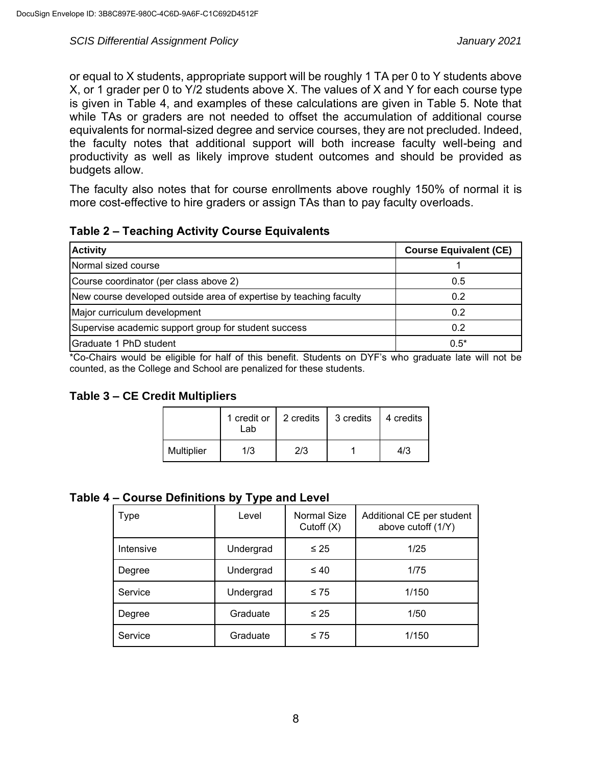or equal to X students, appropriate support will be roughly 1 TA per 0 to Y students above X, or 1 grader per 0 to Y/2 students above X. The values of X and Y for each course type is given in Table 4, and examples of these calculations are given in Table 5. Note that while TAs or graders are not needed to offset the accumulation of additional course equivalents for normal-sized degree and service courses, they are not precluded. Indeed, the faculty notes that additional support will both increase faculty well-being and productivity as well as likely improve student outcomes and should be provided as budgets allow.

The faculty also notes that for course enrollments above roughly 150% of normal it is more cost-effective to hire graders or assign TAs than to pay faculty overloads.

| Table 2 - Teaching Activity Course Equivalents |  |  |  |
|------------------------------------------------|--|--|--|
|------------------------------------------------|--|--|--|

| <b>Activity</b>                                                    | <b>Course Equivalent (CE)</b> |
|--------------------------------------------------------------------|-------------------------------|
| Normal sized course                                                |                               |
| Course coordinator (per class above 2)                             | 0.5                           |
| New course developed outside area of expertise by teaching faculty | 0.2                           |
| Major curriculum development                                       | 0.2                           |
| Supervise academic support group for student success               | 0.2                           |
| Graduate 1 PhD student                                             | $0.5*$                        |

\*Co-Chairs would be eligible for half of this benefit. Students on DYF's who graduate late will not be counted, as the College and School are penalized for these students.

**Table 3 – CE Credit Multipliers**

|            | 1 credit or 1<br>Lab | 2 credits | 3 credits | 4 credits |
|------------|----------------------|-----------|-----------|-----------|
| Multiplier | 1/3                  | 2/3       |           | 4/3       |

**Table 4 ‒ Course Definitions by Type and Level**

| Type      | Level     | <b>Normal Size</b><br>Cutoff $(X)$ | Additional CE per student<br>above cutoff (1/Y) |
|-----------|-----------|------------------------------------|-------------------------------------------------|
| Intensive | Undergrad | $\leq 25$                          | 1/25                                            |
| Degree    | Undergrad | $\leq 40$                          | 1/75                                            |
| Service   | Undergrad | $\leq 75$                          | 1/150                                           |
| Degree    | Graduate  | $\leq 25$                          | 1/50                                            |
| Service   | Graduate  | $\leq 75$                          | 1/150                                           |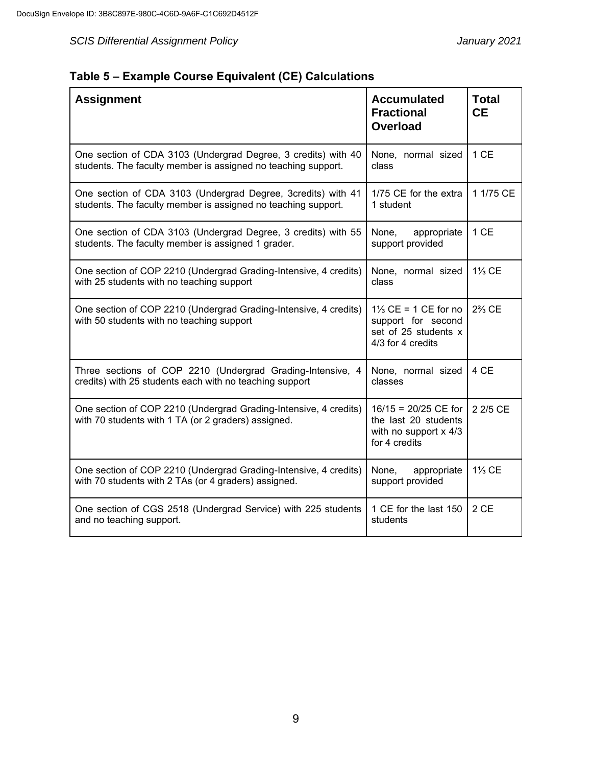|  | Table 5 - Example Course Equivalent (CE) Calculations |  |  |  |
|--|-------------------------------------------------------|--|--|--|
|--|-------------------------------------------------------|--|--|--|

| <b>Assignment</b>                                                                                                              | <b>Accumulated</b><br><b>Fractional</b><br><b>Overload</b>                                         | <b>Total</b><br><b>CE</b> |
|--------------------------------------------------------------------------------------------------------------------------------|----------------------------------------------------------------------------------------------------|---------------------------|
| One section of CDA 3103 (Undergrad Degree, 3 credits) with 40<br>students. The faculty member is assigned no teaching support. | None, normal sized<br>class                                                                        | 1 CE                      |
| One section of CDA 3103 (Undergrad Degree, 3credits) with 41<br>students. The faculty member is assigned no teaching support.  | 1/75 CE for the extra<br>1 student                                                                 | 1 1/75 CE                 |
| One section of CDA 3103 (Undergrad Degree, 3 credits) with 55<br>students. The faculty member is assigned 1 grader.            | None,<br>appropriate<br>support provided                                                           | 1 CE                      |
| One section of COP 2210 (Undergrad Grading-Intensive, 4 credits)<br>with 25 students with no teaching support                  | None, normal sized<br>class                                                                        | 1% CE                     |
| One section of COP 2210 (Undergrad Grading-Intensive, 4 credits)<br>with 50 students with no teaching support                  | $1\frac{1}{3}$ CE = 1 CE for no<br>support for second<br>set of 25 students x<br>4/3 for 4 credits | $2\frac{2}{3}$ CE         |
| Three sections of COP 2210 (Undergrad Grading-Intensive, 4<br>credits) with 25 students each with no teaching support          | None, normal sized<br>classes                                                                      | 4 CE                      |
| One section of COP 2210 (Undergrad Grading-Intensive, 4 credits)<br>with 70 students with 1 TA (or 2 graders) assigned.        | $16/15 = 20/25$ CE for<br>the last 20 students<br>with no support $x$ 4/3<br>for 4 credits         | 2 2/5 CE                  |
| One section of COP 2210 (Undergrad Grading-Intensive, 4 credits)<br>with 70 students with 2 TAs (or 4 graders) assigned.       | None,<br>appropriate<br>support provided                                                           | $1\frac{1}{3}$ CE         |
| One section of CGS 2518 (Undergrad Service) with 225 students<br>and no teaching support.                                      | 1 CE for the last 150<br>students                                                                  | 2 CE                      |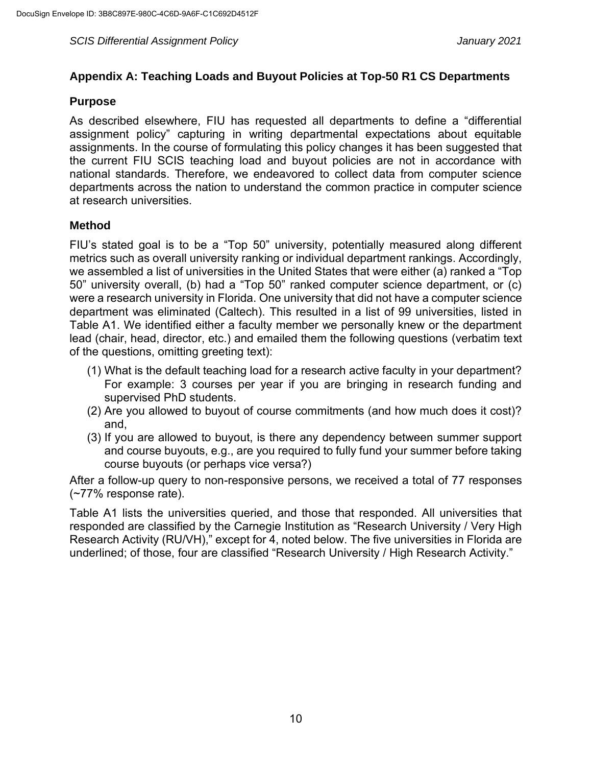## **Appendix A: Teaching Loads and Buyout Policies at Top-50 R1 CS Departments**

#### **Purpose**

As described elsewhere, FIU has requested all departments to define a "differential assignment policy" capturing in writing departmental expectations about equitable assignments. In the course of formulating this policy changes it has been suggested that the current FIU SCIS teaching load and buyout policies are not in accordance with national standards. Therefore, we endeavored to collect data from computer science departments across the nation to understand the common practice in computer science at research universities.

## **Method**

FIU's stated goal is to be a "Top 50" university, potentially measured along different metrics such as overall university ranking or individual department rankings. Accordingly, we assembled a list of universities in the United States that were either (a) ranked a "Top 50" university overall, (b) had a "Top 50" ranked computer science department, or (c) were a research university in Florida. One university that did not have a computer science department was eliminated (Caltech). This resulted in a list of 99 universities, listed in Table A1. We identified either a faculty member we personally knew or the department lead (chair, head, director, etc.) and emailed them the following questions (verbatim text of the questions, omitting greeting text):

- (1) What is the default teaching load for a research active faculty in your department? For example: 3 courses per year if you are bringing in research funding and supervised PhD students.
- (2) Are you allowed to buyout of course commitments (and how much does it cost)? and,
- (3) If you are allowed to buyout, is there any dependency between summer support and course buyouts, e.g., are you required to fully fund your summer before taking course buyouts (or perhaps vice versa?)

After a follow-up query to non-responsive persons, we received a total of 77 responses (~77% response rate).

Table A1 lists the universities queried, and those that responded. All universities that responded are classified by the Carnegie Institution as "Research University / Very High Research Activity (RU/VH)," except for 4, noted below. The five universities in Florida are underlined; of those, four are classified "Research University / High Research Activity."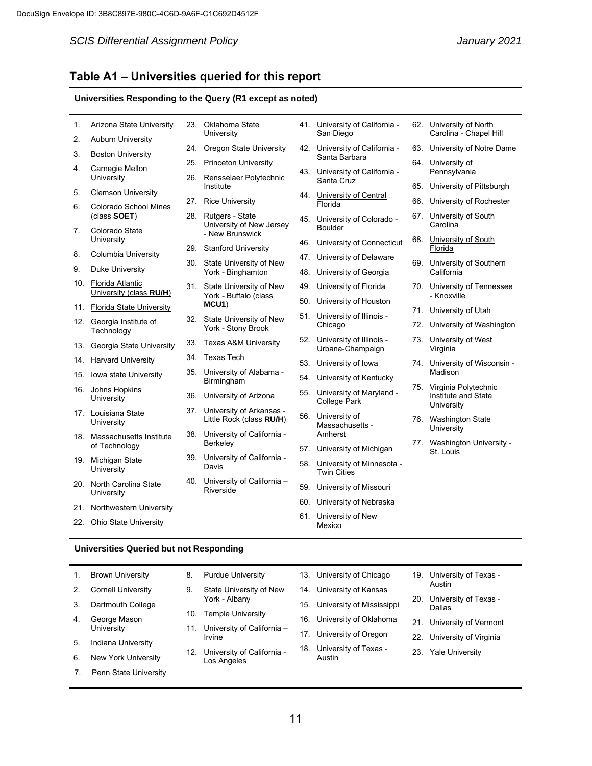l,

#### *SCIS Differential Assignment Policy January 2021*

#### **Table A1 ‒ Universities queried for this report**

#### **Universities Responding to the Query (R1 except as noted)**

| 1.  | Arizona State University                    |     | 23. Oklahoma State<br>University                  |     | 41. University of California -<br>San Diego         | 62. University of North<br>Carolina - Chapel Hill |  |
|-----|---------------------------------------------|-----|---------------------------------------------------|-----|-----------------------------------------------------|---------------------------------------------------|--|
| 2.  | <b>Auburn University</b>                    |     |                                                   |     |                                                     |                                                   |  |
| 3.  | <b>Boston University</b>                    |     | 24. Oregon State University                       | 42. | University of California -<br>Santa Barbara         | 63. University of Notre Dame                      |  |
| 4.  | Carnegie Mellon                             | 25. | Princeton University                              | 43. | University of California -                          | 64. University of<br>Pennsylvania                 |  |
|     | University                                  | 26. | Rensselaer Polytechnic                            |     | Santa Cruz                                          |                                                   |  |
| 5.  | <b>Clemson University</b>                   |     | Institute                                         | 44. | University of Central                               | 65. University of Pittsburgh                      |  |
| 6.  | Colorado School Mines                       | 27. | <b>Rice University</b>                            |     | Florida                                             | 66. University of Rochester                       |  |
|     | (class SOET)                                |     | 28. Rutgers - State                               | 45. | University of Colorado -                            | 67. University of South                           |  |
| 7.  | Colorado State                              |     | University of New Jersey<br>- New Brunswick       |     | <b>Boulder</b>                                      | Carolina                                          |  |
|     | University                                  | 29. | <b>Stanford University</b>                        | 46. | University of Connecticut                           | 68. University of South<br>Florida                |  |
| 8.  | Columbia University                         |     |                                                   | 47. | University of Delaware                              |                                                   |  |
| 9.  | Duke University                             |     | 30. State University of New<br>York - Binghamton  | 48. | University of Georgia                               | 69. University of Southern<br>California          |  |
| 10. | Florida Atlantic<br>University (class RU/H) |     | 31. State University of New                       | 49. | University of Florida                               | 70. University of Tennessee                       |  |
|     |                                             |     | York - Buffalo (class<br>MCU1)                    | 50. | University of Houston                               | - Knoxville                                       |  |
|     | 11. Florida State University                |     |                                                   | 51. | University of Illinois -                            | 71. University of Utah                            |  |
| 12. | Georgia Institute of<br>Technology          |     | 32. State University of New<br>York - Stony Brook |     | Chicago                                             | 72. University of Washington                      |  |
| 13. | Georgia State University                    | 33. | <b>Texas A&amp;M University</b>                   | 52. | University of Illinois -<br>Urbana-Champaign        | 73. University of West<br>Virginia                |  |
| 14. | <b>Harvard University</b>                   | 34. | Texas Tech                                        | 53. | University of Iowa                                  | 74. University of Wisconsin -                     |  |
| 15. | <b>Iowa state University</b>                |     | 35. University of Alabama -                       |     |                                                     | Madison                                           |  |
| 16. | Johns Hopkins                               |     | Birmingham                                        | 54. | University of Kentucky                              | 75. Virginia Polytechnic                          |  |
|     | University                                  | 36. | University of Arizona                             | 55. | University of Maryland -<br>College Park            | Institute and State                               |  |
|     | 17. Louisiana State                         |     | 37. University of Arkansas -                      | 56. | University of                                       | University                                        |  |
|     | University                                  |     | Little Rock (class RU/H)                          |     | Massachusetts -                                     | 76. Washington State<br>University                |  |
|     | 18. Massachusetts Institute                 |     | 38. University of California -<br>Berkeley        |     | Amherst                                             | 77. Washington University -                       |  |
|     | of Technology                               |     |                                                   | 57. | University of Michigan                              | St. Louis                                         |  |
|     | 19. Michigan State<br>University            |     | 39. University of California -<br>Davis           |     | 58. University of Minnesota -<br><b>Twin Cities</b> |                                                   |  |
|     | 20. North Carolina State                    |     | 40. University of California -                    | 59. | University of Missouri                              |                                                   |  |
|     | University                                  |     | Riverside                                         | 60. | University of Nebraska                              |                                                   |  |
|     | 21. Northwestern University                 |     |                                                   |     |                                                     |                                                   |  |
|     | 22. Ohio State University                   |     |                                                   | 61. | University of New<br>Mexico                         |                                                   |  |

#### **Universities Queried but not Responding**

| <b>Brown University</b> |  |
|-------------------------|--|
|-------------------------|--|

- 2. Cornell University
- 3. Dartmouth College
- 4. George Mason **University**
- 5. Indiana University
- 6. New York University
- 7. Penn State University
- 8. Purdue University
- 9. State University of New York - Albany
- 10. Temple University
- 11. University of California Irvine
- 12. University of California Los Angeles
- 13. University of Chicago
- 14. University of Kansas
- 15. University of Mississippi
- 16. University of Oklahoma
- 
- 17. University of Oregon
- 18. University of Texas Austin
- 19. University of Texas Austin
- 20. University of Texas Dallas
- 21. University of Vermont
- 22. University of Virginia
- 23. Yale University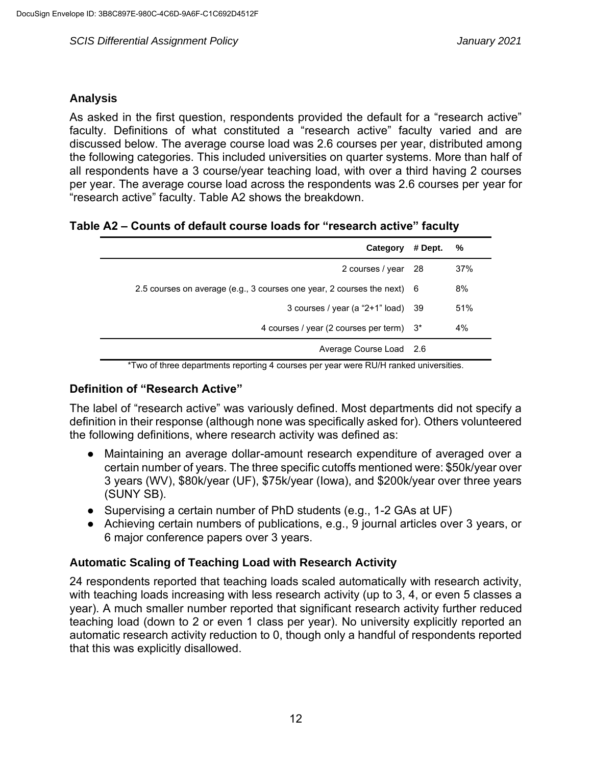#### **Analysis**

As asked in the first question, respondents provided the default for a "research active" faculty. Definitions of what constituted a "research active" faculty varied and are discussed below. The average course load was 2.6 courses per year, distributed among the following categories. This included universities on quarter systems. More than half of all respondents have a 3 course/year teaching load, with over a third having 2 courses per year. The average course load across the respondents was 2.6 courses per year for "research active" faculty. Table A2 shows the breakdown.

## **Table A2 ‒ Counts of default course loads for "research active" faculty**

| Category                                                                | # Dept. | %   |
|-------------------------------------------------------------------------|---------|-----|
| 2 courses / year 28                                                     |         | 37% |
| 2.5 courses on average (e.g., 3 courses one year, 2 courses the next) 6 |         | 8%  |
| 3 courses / year (a " $2+1$ " load) 39                                  |         | 51% |
| 4 courses / year (2 courses per term) 3*                                |         | 4%  |
| Average Course Load 2.6                                                 |         |     |

\*Two of three departments reporting 4 courses per year were RU/H ranked universities.

#### **Definition of "Research Active"**

The label of "research active" was variously defined. Most departments did not specify a definition in their response (although none was specifically asked for). Others volunteered the following definitions, where research activity was defined as:

- Maintaining an average dollar-amount research expenditure of averaged over a certain number of years. The three specific cutoffs mentioned were: \$50k/year over 3 years (WV), \$80k/year (UF), \$75k/year (Iowa), and \$200k/year over three years (SUNY SB).
- Supervising a certain number of PhD students (e.g., 1-2 GAs at UF)
- Achieving certain numbers of publications, e.g., 9 journal articles over 3 years, or 6 major conference papers over 3 years.

## **Automatic Scaling of Teaching Load with Research Activity**

24 respondents reported that teaching loads scaled automatically with research activity, with teaching loads increasing with less research activity (up to 3, 4, or even 5 classes a year). A much smaller number reported that significant research activity further reduced teaching load (down to 2 or even 1 class per year). No university explicitly reported an automatic research activity reduction to 0, though only a handful of respondents reported that this was explicitly disallowed.